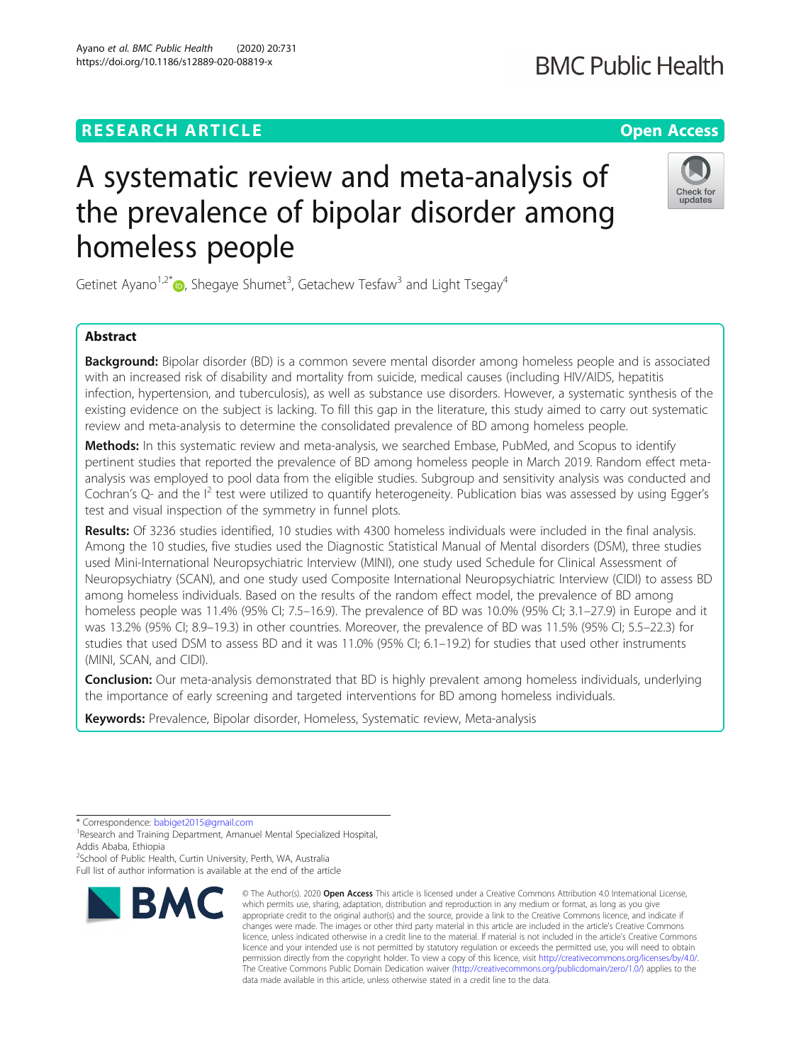## **RESEARCH ARTICLE Example 2014 12:30 The Contract of Contract ACCESS**

# A systematic review and meta-analysis of the prevalence of bipolar disorder among homeless people

Getinet Ayano<sup>1,2\*</sup> $\textsf{D}$ , Shegaye Shumet<sup>3</sup>, Getachew Tesfaw<sup>3</sup> and Light Tsegay<sup>4</sup>

### Abstract

**Background:** Bipolar disorder (BD) is a common severe mental disorder among homeless people and is associated with an increased risk of disability and mortality from suicide, medical causes (including HIV/AIDS, hepatitis infection, hypertension, and tuberculosis), as well as substance use disorders. However, a systematic synthesis of the existing evidence on the subject is lacking. To fill this gap in the literature, this study aimed to carry out systematic review and meta-analysis to determine the consolidated prevalence of BD among homeless people.

Methods: In this systematic review and meta-analysis, we searched Embase, PubMed, and Scopus to identify pertinent studies that reported the prevalence of BD among homeless people in March 2019. Random effect metaanalysis was employed to pool data from the eligible studies. Subgroup and sensitivity analysis was conducted and Cochran's Q- and the I<sup>2</sup> test were utilized to quantify heterogeneity. Publication bias was assessed by using Egger's test and visual inspection of the symmetry in funnel plots.

Results: Of 3236 studies identified, 10 studies with 4300 homeless individuals were included in the final analysis. Among the 10 studies, five studies used the Diagnostic Statistical Manual of Mental disorders (DSM), three studies used Mini-International Neuropsychiatric Interview (MINI), one study used Schedule for Clinical Assessment of Neuropsychiatry (SCAN), and one study used Composite International Neuropsychiatric Interview (CIDI) to assess BD among homeless individuals. Based on the results of the random effect model, the prevalence of BD among homeless people was 11.4% (95% CI; 7.5–16.9). The prevalence of BD was 10.0% (95% CI; 3.1–27.9) in Europe and it was 13.2% (95% CI; 8.9–19.3) in other countries. Moreover, the prevalence of BD was 11.5% (95% CI; 5.5–22.3) for studies that used DSM to assess BD and it was 11.0% (95% CI; 6.1–19.2) for studies that used other instruments (MINI, SCAN, and CIDI).

**Conclusion:** Our meta-analysis demonstrated that BD is highly prevalent among homeless individuals, underlying the importance of early screening and targeted interventions for BD among homeless individuals.

Keywords: Prevalence, Bipolar disorder, Homeless, Systematic review, Meta-analysis

<sup>2</sup>School of Public Health, Curtin University, Perth, WA, Australia Full list of author information is available at the end of the article

Ayano et al. BMC Public Health (2020) 20:731



<sup>©</sup> The Author(s), 2020 **Open Access** This article is licensed under a Creative Commons Attribution 4.0 International License, which permits use, sharing, adaptation, distribution and reproduction in any medium or format, as long as you give appropriate credit to the original author(s) and the source, provide a link to the Creative Commons licence, and indicate if changes were made. The images or other third party material in this article are included in the article's Creative Commons licence, unless indicated otherwise in a credit line to the material. If material is not included in the article's Creative Commons licence and your intended use is not permitted by statutory regulation or exceeds the permitted use, you will need to obtain permission directly from the copyright holder. To view a copy of this licence, visit [http://creativecommons.org/licenses/by/4.0/.](http://creativecommons.org/licenses/by/4.0/) The Creative Commons Public Domain Dedication waiver [\(http://creativecommons.org/publicdomain/zero/1.0/](http://creativecommons.org/publicdomain/zero/1.0/)) applies to the data made available in this article, unless otherwise stated in a credit line to the data.



<sup>\*</sup> Correspondence: [babiget2015@gmail.com](mailto:babiget2015@gmail.com) <sup>1</sup>

<sup>&</sup>lt;sup>1</sup> Research and Training Department, Amanuel Mental Specialized Hospital, Addis Ababa, Ethiopia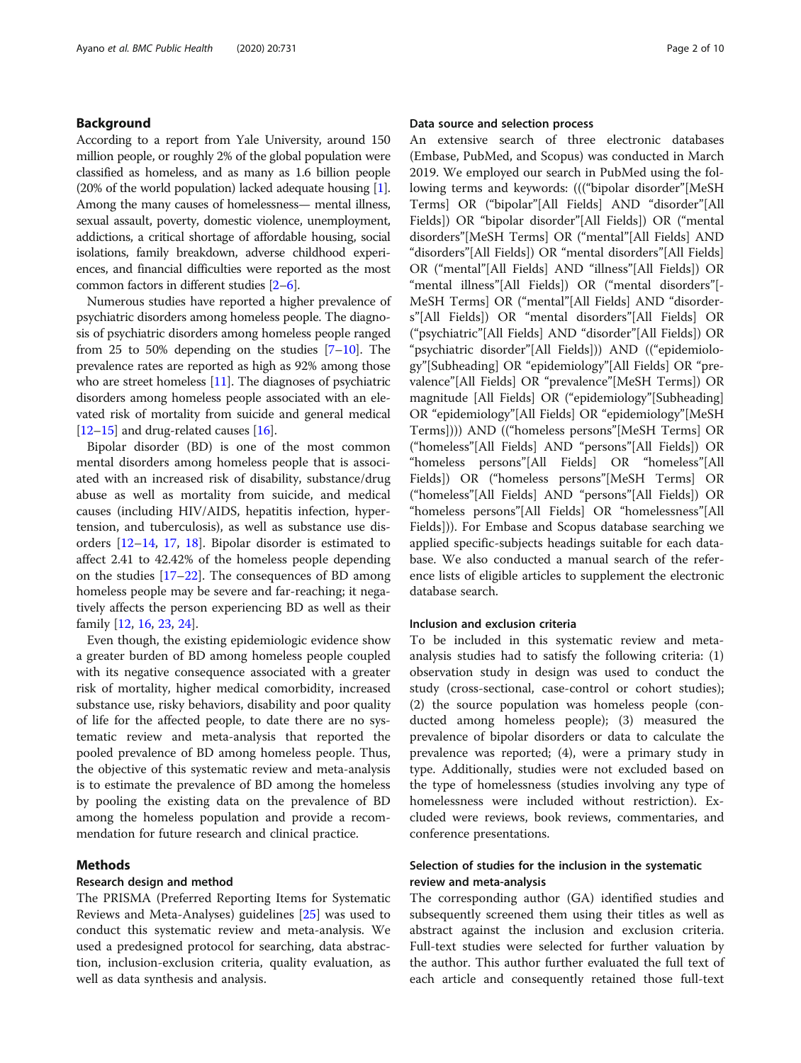#### Background

According to a report from Yale University, around 150 million people, or roughly 2% of the global population were classified as homeless, and as many as 1.6 billion people (20% of the world population) lacked adequate housing [[1](#page-8-0)]. Among the many causes of homelessness— mental illness, sexual assault, poverty, domestic violence, unemployment, addictions, a critical shortage of affordable housing, social isolations, family breakdown, adverse childhood experiences, and financial difficulties were reported as the most common factors in different studies [[2](#page-8-0)–[6](#page-8-0)].

Numerous studies have reported a higher prevalence of psychiatric disorders among homeless people. The diagnosis of psychiatric disorders among homeless people ranged from 25 to 50% depending on the studies  $[7-10]$  $[7-10]$  $[7-10]$ . The prevalence rates are reported as high as 92% among those who are street homeless [\[11\]](#page-8-0). The diagnoses of psychiatric disorders among homeless people associated with an elevated risk of mortality from suicide and general medical  $[12–15]$  $[12–15]$  $[12–15]$  $[12–15]$  and drug-related causes  $[16]$ .

Bipolar disorder (BD) is one of the most common mental disorders among homeless people that is associated with an increased risk of disability, substance/drug abuse as well as mortality from suicide, and medical causes (including HIV/AIDS, hepatitis infection, hypertension, and tuberculosis), as well as substance use disorders [[12](#page-8-0)–[14](#page-9-0), [17,](#page-9-0) [18\]](#page-9-0). Bipolar disorder is estimated to affect 2.41 to 42.42% of the homeless people depending on the studies [[17](#page-9-0)–[22](#page-9-0)]. The consequences of BD among homeless people may be severe and far-reaching; it negatively affects the person experiencing BD as well as their family [[12,](#page-8-0) [16](#page-9-0), [23](#page-9-0), [24](#page-9-0)].

Even though, the existing epidemiologic evidence show a greater burden of BD among homeless people coupled with its negative consequence associated with a greater risk of mortality, higher medical comorbidity, increased substance use, risky behaviors, disability and poor quality of life for the affected people, to date there are no systematic review and meta-analysis that reported the pooled prevalence of BD among homeless people. Thus, the objective of this systematic review and meta-analysis is to estimate the prevalence of BD among the homeless by pooling the existing data on the prevalence of BD among the homeless population and provide a recommendation for future research and clinical practice.

#### Methods

#### Research design and method

The PRISMA (Preferred Reporting Items for Systematic Reviews and Meta-Analyses) guidelines [\[25](#page-9-0)] was used to conduct this systematic review and meta-analysis. We used a predesigned protocol for searching, data abstraction, inclusion-exclusion criteria, quality evaluation, as well as data synthesis and analysis.

#### Data source and selection process

An extensive search of three electronic databases (Embase, PubMed, and Scopus) was conducted in March 2019. We employed our search in PubMed using the following terms and keywords: ((("bipolar disorder"[MeSH Terms] OR ("bipolar"[All Fields] AND "disorder"[All Fields]) OR "bipolar disorder"[All Fields]) OR ("mental disorders"[MeSH Terms] OR ("mental"[All Fields] AND "disorders"[All Fields]) OR "mental disorders"[All Fields] OR ("mental"[All Fields] AND "illness"[All Fields]) OR "mental illness"[All Fields]) OR ("mental disorders"[- MeSH Terms] OR ("mental"[All Fields] AND "disorders"[All Fields]) OR "mental disorders"[All Fields] OR ("psychiatric"[All Fields] AND "disorder"[All Fields]) OR "psychiatric disorder"[All Fields])) AND (("epidemiology"[Subheading] OR "epidemiology"[All Fields] OR "prevalence"[All Fields] OR "prevalence"[MeSH Terms]) OR magnitude [All Fields] OR ("epidemiology"[Subheading] OR "epidemiology"[All Fields] OR "epidemiology"[MeSH Terms]))) AND (("homeless persons"[MeSH Terms] OR ("homeless"[All Fields] AND "persons"[All Fields]) OR "homeless persons"[All Fields] OR "homeless"[All Fields]) OR ("homeless persons"[MeSH Terms] OR ("homeless"[All Fields] AND "persons"[All Fields]) OR "homeless persons"[All Fields] OR "homelessness"[All Fields])). For Embase and Scopus database searching we applied specific-subjects headings suitable for each database. We also conducted a manual search of the reference lists of eligible articles to supplement the electronic database search.

#### Inclusion and exclusion criteria

To be included in this systematic review and metaanalysis studies had to satisfy the following criteria: (1) observation study in design was used to conduct the study (cross-sectional, case-control or cohort studies); (2) the source population was homeless people (conducted among homeless people); (3) measured the prevalence of bipolar disorders or data to calculate the prevalence was reported; (4), were a primary study in type. Additionally, studies were not excluded based on the type of homelessness (studies involving any type of homelessness were included without restriction). Excluded were reviews, book reviews, commentaries, and conference presentations.

#### Selection of studies for the inclusion in the systematic review and meta-analysis

The corresponding author (GA) identified studies and subsequently screened them using their titles as well as abstract against the inclusion and exclusion criteria. Full-text studies were selected for further valuation by the author. This author further evaluated the full text of each article and consequently retained those full-text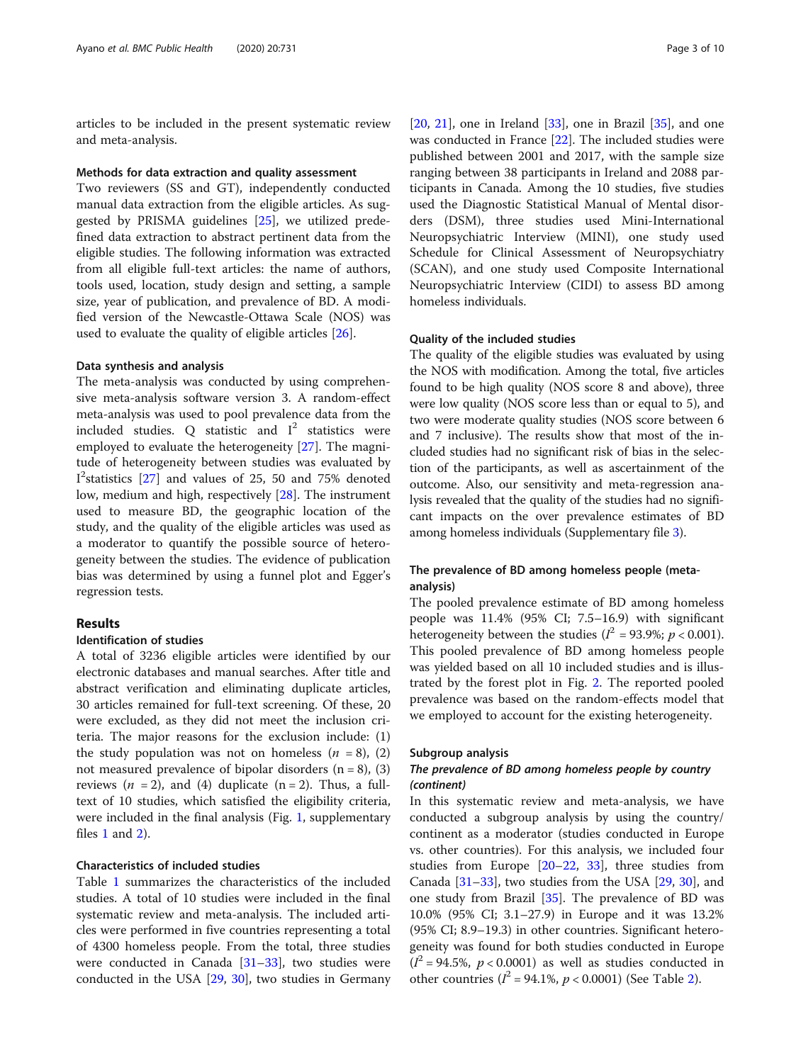articles to be included in the present systematic review and meta-analysis.

#### Methods for data extraction and quality assessment

Two reviewers (SS and GT), independently conducted manual data extraction from the eligible articles. As suggested by PRISMA guidelines [\[25](#page-9-0)], we utilized predefined data extraction to abstract pertinent data from the eligible studies. The following information was extracted from all eligible full-text articles: the name of authors, tools used, location, study design and setting, a sample size, year of publication, and prevalence of BD. A modified version of the Newcastle-Ottawa Scale (NOS) was used to evaluate the quality of eligible articles [[26\]](#page-9-0).

#### Data synthesis and analysis

The meta-analysis was conducted by using comprehensive meta-analysis software version 3. A random-effect meta-analysis was used to pool prevalence data from the included studies. Q statistic and  $I^2$  statistics were employed to evaluate the heterogeneity [\[27\]](#page-9-0). The magnitude of heterogeneity between studies was evaluated by I 2 statistics [\[27](#page-9-0)] and values of 25, 50 and 75% denoted low, medium and high, respectively [[28\]](#page-9-0). The instrument used to measure BD, the geographic location of the study, and the quality of the eligible articles was used as a moderator to quantify the possible source of heterogeneity between the studies. The evidence of publication bias was determined by using a funnel plot and Egger's regression tests.

#### Results

#### Identification of studies

A total of 3236 eligible articles were identified by our electronic databases and manual searches. After title and abstract verification and eliminating duplicate articles, 30 articles remained for full-text screening. Of these, 20 were excluded, as they did not meet the inclusion criteria. The major reasons for the exclusion include: (1) the study population was not on homeless  $(n = 8)$ , (2) not measured prevalence of bipolar disorders  $(n = 8)$ , (3) reviews  $(n = 2)$ , and  $(4)$  duplicate  $(n = 2)$ . Thus, a fulltext of 10 studies, which satisfied the eligibility criteria, were included in the final analysis (Fig. [1](#page-3-0), supplementary files [1](#page-8-0) and [2\)](#page-8-0).

#### Characteristics of included studies

Table [1](#page-4-0) summarizes the characteristics of the included studies. A total of 10 studies were included in the final systematic review and meta-analysis. The included articles were performed in five countries representing a total of 4300 homeless people. From the total, three studies were conducted in Canada  $[31-33]$  $[31-33]$  $[31-33]$ , two studies were conducted in the USA [[29](#page-9-0), [30\]](#page-9-0), two studies in Germany

 $[20, 21]$  $[20, 21]$  $[20, 21]$  $[20, 21]$  $[20, 21]$ , one in Ireland  $[33]$  $[33]$ , one in Brazil  $[35]$  $[35]$ , and one was conducted in France [[22\]](#page-9-0). The included studies were published between 2001 and 2017, with the sample size ranging between 38 participants in Ireland and 2088 participants in Canada. Among the 10 studies, five studies used the Diagnostic Statistical Manual of Mental disorders (DSM), three studies used Mini-International Neuropsychiatric Interview (MINI), one study used Schedule for Clinical Assessment of Neuropsychiatry (SCAN), and one study used Composite International Neuropsychiatric Interview (CIDI) to assess BD among homeless individuals.

#### Quality of the included studies

The quality of the eligible studies was evaluated by using the NOS with modification. Among the total, five articles found to be high quality (NOS score 8 and above), three were low quality (NOS score less than or equal to 5), and two were moderate quality studies (NOS score between 6 and 7 inclusive). The results show that most of the included studies had no significant risk of bias in the selection of the participants, as well as ascertainment of the outcome. Also, our sensitivity and meta-regression analysis revealed that the quality of the studies had no significant impacts on the over prevalence estimates of BD among homeless individuals (Supplementary file [3](#page-8-0)).

#### The prevalence of BD among homeless people (metaanalysis)

The pooled prevalence estimate of BD among homeless people was 11.4% (95% CI; 7.5–16.9) with significant heterogeneity between the studies ( $I^2 = 93.9\%$ ;  $p < 0.001$ ). This pooled prevalence of BD among homeless people was yielded based on all 10 included studies and is illustrated by the forest plot in Fig. [2.](#page-4-0) The reported pooled prevalence was based on the random-effects model that we employed to account for the existing heterogeneity.

#### Subgroup analysis

#### The prevalence of BD among homeless people by country (continent)

In this systematic review and meta-analysis, we have conducted a subgroup analysis by using the country/ continent as a moderator (studies conducted in Europe vs. other countries). For this analysis, we included four studies from Europe [[20](#page-9-0)–[22,](#page-9-0) [33](#page-9-0)], three studies from Canada [[31](#page-9-0)–[33](#page-9-0)], two studies from the USA [\[29,](#page-9-0) [30\]](#page-9-0), and one study from Brazil [[35](#page-9-0)]. The prevalence of BD was 10.0% (95% CI; 3.1–27.9) in Europe and it was 13.2% (95% CI; 8.9–19.3) in other countries. Significant heterogeneity was found for both studies conducted in Europe  $(I^2 = 94.5\%, p < 0.0001)$  as well as studies conducted in other countries ( $I^2 = 94.1\%$  $I^2 = 94.1\%$  $I^2 = 94.1\%$ ,  $p < 0.0001$ ) (See Table 2).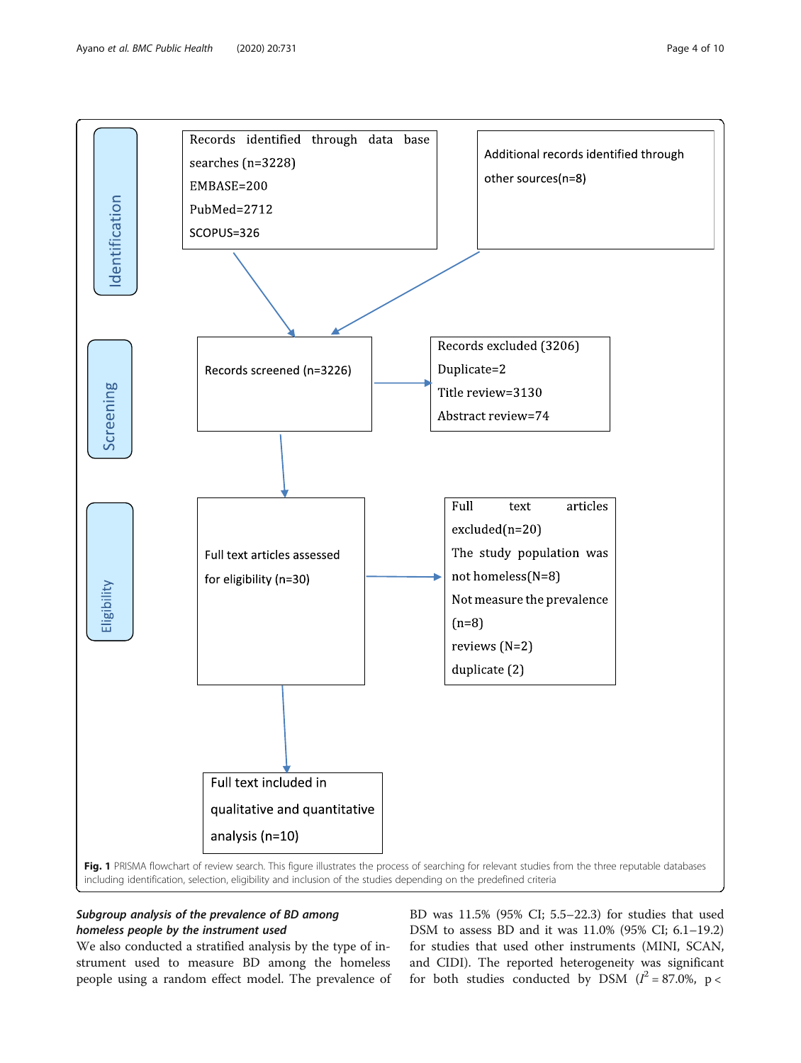<span id="page-3-0"></span>

#### Subgroup analysis of the prevalence of BD among homeless people by the instrument used

We also conducted a stratified analysis by the type of instrument used to measure BD among the homeless people using a random effect model. The prevalence of BD was 11.5% (95% CI; 5.5–22.3) for studies that used DSM to assess BD and it was 11.0% (95% CI; 6.1–19.2) for studies that used other instruments (MINI, SCAN, and CIDI). The reported heterogeneity was significant for both studies conducted by DSM  $(l^2 = 87.0\% , p <$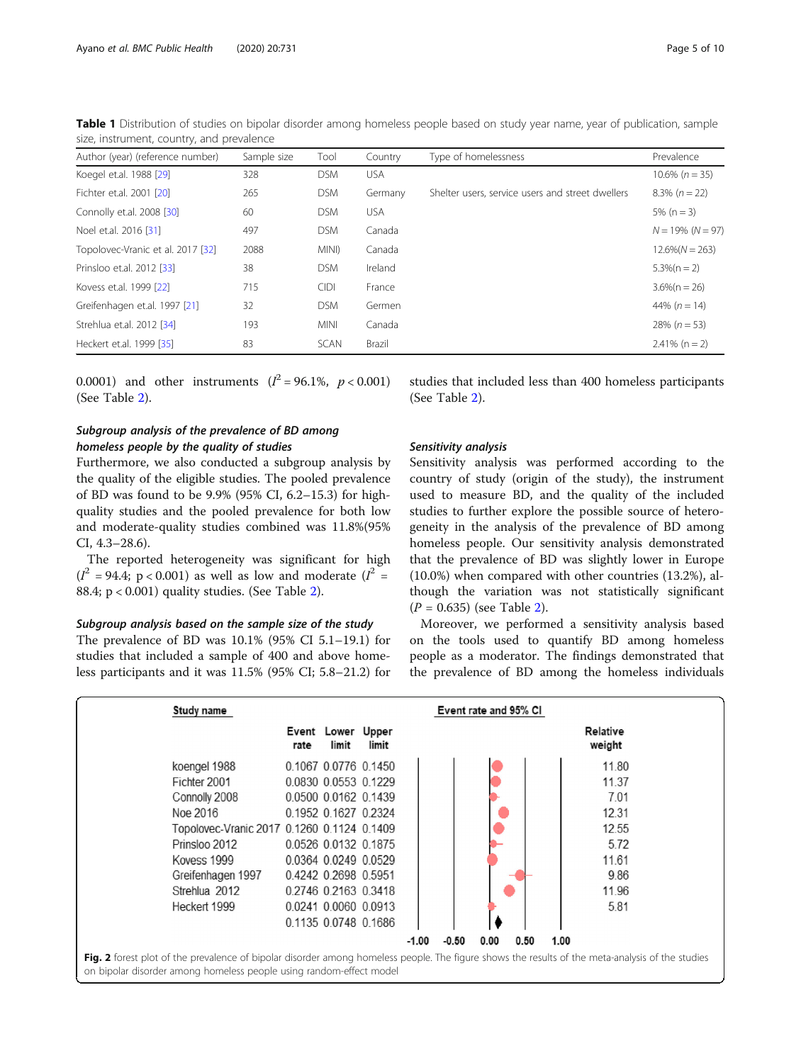| Author (year) (reference number)  | Sample size | Tool        | Country    | Type of homelessness                             | Prevalence          |
|-----------------------------------|-------------|-------------|------------|--------------------------------------------------|---------------------|
| Koegel et.al. 1988 [29]           | 328         | <b>DSM</b>  | <b>USA</b> |                                                  | $10.6\% (n = 35)$   |
| Fichter et.al. 2001 [20]          | 265         | <b>DSM</b>  | Germany    | Shelter users, service users and street dwellers | $8.3\% (n = 22)$    |
| Connolly et.al. 2008 [30]         | 60          | <b>DSM</b>  | <b>USA</b> |                                                  | $5\%$ (n = 3)       |
| Noel et.al. 2016 [31]             | 497         | <b>DSM</b>  | Canada     |                                                  | $N = 19\% (N = 97)$ |
| Topolovec-Vranic et al. 2017 [32] | 2088        | MINI)       | Canada     |                                                  | $12.6\%(N = 263)$   |
| Prinsloo et.al. 2012 [33]         | 38          | <b>DSM</b>  | Ireland    |                                                  | $5.3\%(n = 2)$      |
| Kovess et.al. 1999 [22]           | 715         | <b>CIDI</b> | France     |                                                  | $3.6\%$ (n = 26)    |
| Greifenhagen et.al. 1997 [21]     | 32          | <b>DSM</b>  | Germen     |                                                  | 44% $(n = 14)$      |
| Strehlua et.al. 2012 [34]         | 193         | <b>MINI</b> | Canada     |                                                  | $28\% (n = 53)$     |
| Heckert et.al. 1999 [35]          | 83          | SCAN        | Brazil     |                                                  | $2.41\%$ (n = 2)    |

<span id="page-4-0"></span>Table 1 Distribution of studies on bipolar disorder among homeless people based on study year name, year of publication, sample size, instrument, country, and prevalence

0.0001) and other instruments  $(I^2 = 96.1\%, p < 0.001)$ (See Table [2](#page-5-0)).

#### Subgroup analysis of the prevalence of BD among homeless people by the quality of studies

Furthermore, we also conducted a subgroup analysis by the quality of the eligible studies. The pooled prevalence of BD was found to be 9.9% (95% CI, 6.2–15.3) for highquality studies and the pooled prevalence for both low and moderate-quality studies combined was 11.8%(95% CI, 4.3–28.6).

The reported heterogeneity was significant for high  $(I^2 = 94.4; p < 0.001)$  as well as low and moderate  $(I^2 =$ 88.4; p < 0.001) quality studies. (See Table [2\)](#page-5-0).

#### Subgroup analysis based on the sample size of the study

The prevalence of BD was 10.1% (95% CI 5.1–19.1) for studies that included a sample of 400 and above homeless participants and it was 11.5% (95% CI; 5.8–21.2) for studies that included less than 400 homeless participants (See Table [2\)](#page-5-0).

#### Sensitivity analysis

Sensitivity analysis was performed according to the country of study (origin of the study), the instrument used to measure BD, and the quality of the included studies to further explore the possible source of heterogeneity in the analysis of the prevalence of BD among homeless people. Our sensitivity analysis demonstrated that the prevalence of BD was slightly lower in Europe (10.0%) when compared with other countries (13.2%), although the variation was not statistically significant  $(P = 0.635)$  (see Table [2](#page-5-0)).

Moreover, we performed a sensitivity analysis based on the tools used to quantify BD among homeless people as a moderator. The findings demonstrated that the prevalence of BD among the homeless individuals

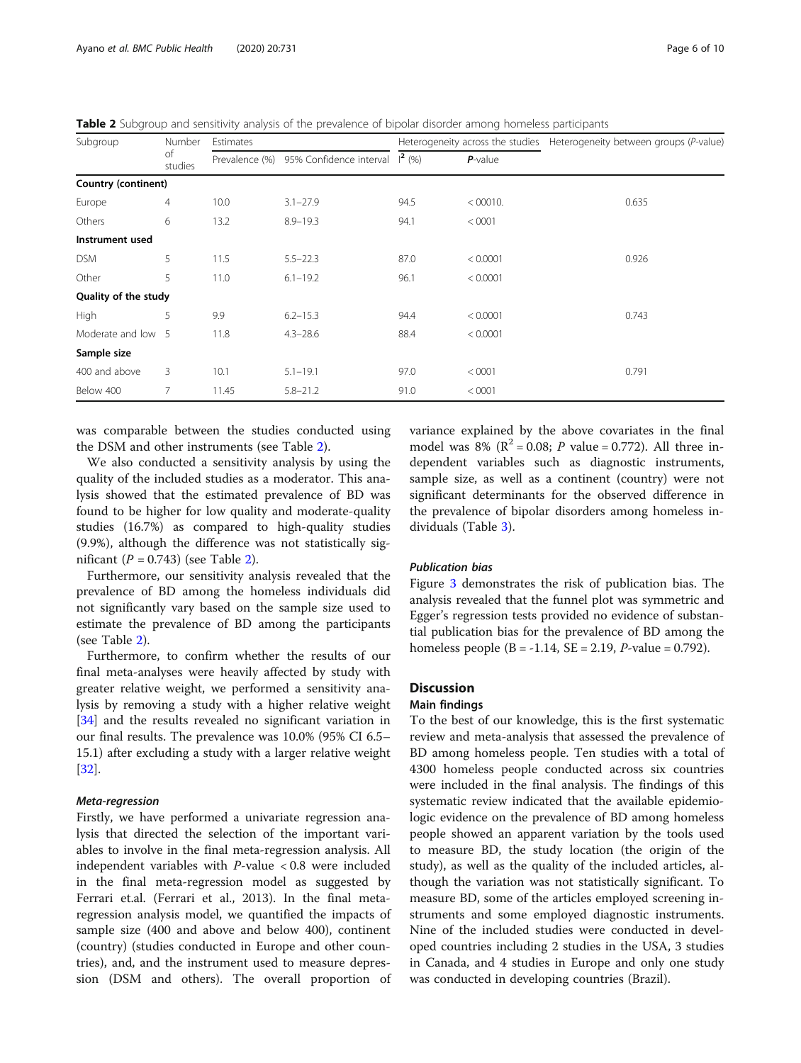<span id="page-5-0"></span>Table 2 Subgroup and sensitivity analysis of the prevalence of bipolar disorder among homeless participants

| Subgroup             | Number<br>of<br>studies | Estimates      |                                                  |      |            | Heterogeneity across the studies Heterogeneity between groups (P-value) |  |
|----------------------|-------------------------|----------------|--------------------------------------------------|------|------------|-------------------------------------------------------------------------|--|
|                      |                         | Prevalence (%) | 95% Confidence interval $\left  \right ^{2}$ (%) |      | $P$ -value |                                                                         |  |
| Country (continent)  |                         |                |                                                  |      |            |                                                                         |  |
| Europe               | 4                       | 10.0           | $3.1 - 27.9$                                     | 94.5 | < 00010.   | 0.635                                                                   |  |
| Others               | 6                       | 13.2           | $8.9 - 19.3$                                     | 94.1 | < 0001     |                                                                         |  |
| Instrument used      |                         |                |                                                  |      |            |                                                                         |  |
| <b>DSM</b>           | 5                       | 11.5           | $5.5 - 22.3$                                     | 87.0 | < 0.0001   | 0.926                                                                   |  |
| Other                | 5                       | 11.0           | $6.1 - 19.2$                                     | 96.1 | < 0.0001   |                                                                         |  |
| Quality of the study |                         |                |                                                  |      |            |                                                                         |  |
| High                 | 5                       | 9.9            | $6.2 - 15.3$                                     | 94.4 | < 0.0001   | 0.743                                                                   |  |
| Moderate and low 5   |                         | 11.8           | $4.3 - 28.6$                                     | 88.4 | < 0.0001   |                                                                         |  |
| Sample size          |                         |                |                                                  |      |            |                                                                         |  |
| 400 and above        | 3                       | 10.1           | $5.1 - 19.1$                                     | 97.0 | < 0001     | 0.791                                                                   |  |
| Below 400            | 7                       | 11.45          | $5.8 - 21.2$                                     | 91.0 | < 0001     |                                                                         |  |

was comparable between the studies conducted using the DSM and other instruments (see Table 2).

We also conducted a sensitivity analysis by using the quality of the included studies as a moderator. This analysis showed that the estimated prevalence of BD was found to be higher for low quality and moderate-quality studies (16.7%) as compared to high-quality studies (9.9%), although the difference was not statistically significant  $(P = 0.743)$  (see Table 2).

Furthermore, our sensitivity analysis revealed that the prevalence of BD among the homeless individuals did not significantly vary based on the sample size used to estimate the prevalence of BD among the participants (see Table 2).

Furthermore, to confirm whether the results of our final meta-analyses were heavily affected by study with greater relative weight, we performed a sensitivity analysis by removing a study with a higher relative weight [[34\]](#page-9-0) and the results revealed no significant variation in our final results. The prevalence was 10.0% (95% CI 6.5– 15.1) after excluding a study with a larger relative weight [[32\]](#page-9-0).

#### Meta-regression

Firstly, we have performed a univariate regression analysis that directed the selection of the important variables to involve in the final meta-regression analysis. All independent variables with  $P$ -value < 0.8 were included in the final meta-regression model as suggested by Ferrari et.al. (Ferrari et al., 2013). In the final metaregression analysis model, we quantified the impacts of sample size (400 and above and below 400), continent (country) (studies conducted in Europe and other countries), and, and the instrument used to measure depression (DSM and others). The overall proportion of

variance explained by the above covariates in the final model was 8% ( $R^2 = 0.08$ ; *P* value = 0.772). All three independent variables such as diagnostic instruments, sample size, as well as a continent (country) were not significant determinants for the observed difference in the prevalence of bipolar disorders among homeless individuals (Table [3\)](#page-6-0).

#### Publication bias

Figure [3](#page-6-0) demonstrates the risk of publication bias. The analysis revealed that the funnel plot was symmetric and Egger's regression tests provided no evidence of substantial publication bias for the prevalence of BD among the homeless people  $(B = -1.14, SE = 2.19, P-value = 0.792)$ .

#### **Discussion**

#### Main findings

To the best of our knowledge, this is the first systematic review and meta-analysis that assessed the prevalence of BD among homeless people. Ten studies with a total of 4300 homeless people conducted across six countries were included in the final analysis. The findings of this systematic review indicated that the available epidemiologic evidence on the prevalence of BD among homeless people showed an apparent variation by the tools used to measure BD, the study location (the origin of the study), as well as the quality of the included articles, although the variation was not statistically significant. To measure BD, some of the articles employed screening instruments and some employed diagnostic instruments. Nine of the included studies were conducted in developed countries including 2 studies in the USA, 3 studies in Canada, and 4 studies in Europe and only one study was conducted in developing countries (Brazil).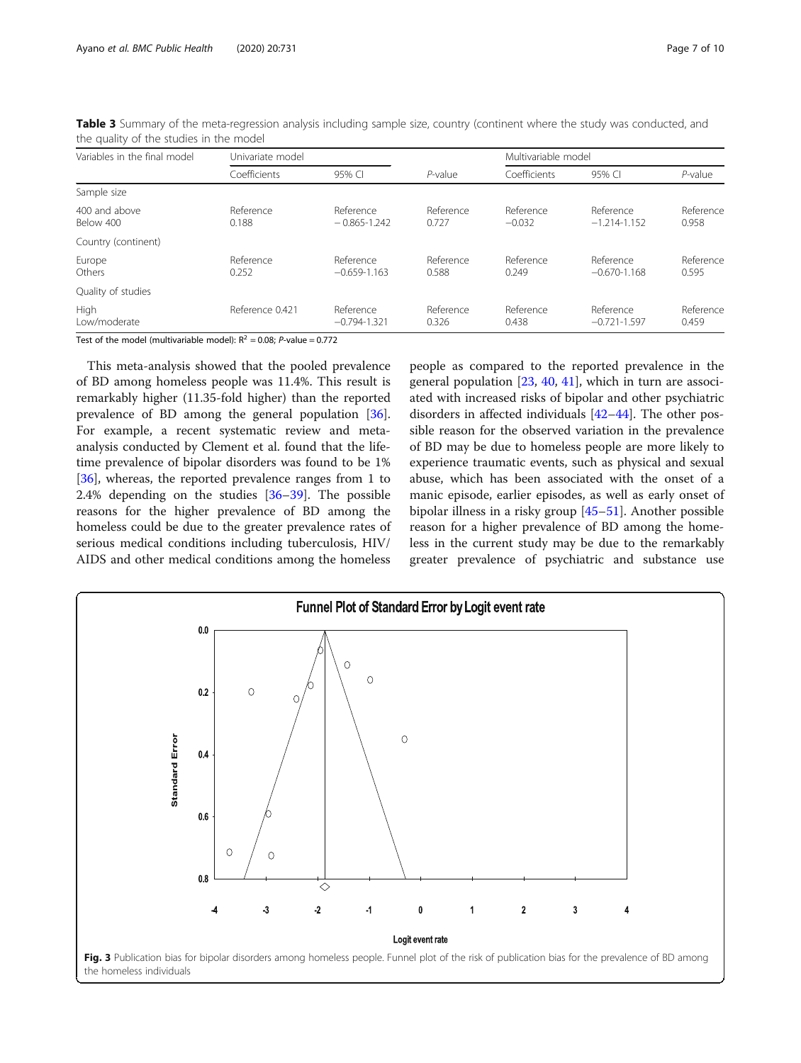| Variables in the final model | Univariate model   |                               |                    | Multivariable model   |                               |                    |
|------------------------------|--------------------|-------------------------------|--------------------|-----------------------|-------------------------------|--------------------|
|                              | Coefficients       | 95% CI                        |                    | Coefficients          | 95% CI                        | $P$ -value         |
| Sample size                  |                    |                               |                    |                       |                               |                    |
| 400 and above<br>Below 400   | Reference<br>0.188 | Reference<br>$-0.865 - 1.242$ | Reference<br>0.727 | Reference<br>$-0.032$ | Reference<br>$-1.214 - 1.152$ | Reference<br>0.958 |
| Country (continent)          |                    |                               |                    |                       |                               |                    |
| Europe<br>Others             | Reference<br>0.252 | Reference<br>$-0.659 - 1.163$ | Reference<br>0.588 | Reference<br>0.249    | Reference<br>$-0.670 - 1.168$ | Reference<br>0.595 |
| Quality of studies           |                    |                               |                    |                       |                               |                    |
| High<br>Low/moderate         | Reference 0.421    | Reference<br>$-0.794 - 1.321$ | Reference<br>0.326 | Reference<br>0.438    | Reference<br>$-0.721 - 1.597$ | Reference<br>0.459 |

<span id="page-6-0"></span>Table 3 Summary of the meta-regression analysis including sample size, country (continent where the study was conducted, and the quality of the studies in the model

Test of the model (multivariable model):  $R^2 = 0.08$ ; *P*-value = 0.772

This meta-analysis showed that the pooled prevalence of BD among homeless people was 11.4%. This result is remarkably higher (11.35-fold higher) than the reported prevalence of BD among the general population [\[36](#page-9-0)]. For example, a recent systematic review and metaanalysis conducted by Clement et al. found that the lifetime prevalence of bipolar disorders was found to be 1% [[36\]](#page-9-0), whereas, the reported prevalence ranges from 1 to 2.4% depending on the studies [[36](#page-9-0)–[39\]](#page-9-0). The possible reasons for the higher prevalence of BD among the homeless could be due to the greater prevalence rates of serious medical conditions including tuberculosis, HIV/ AIDS and other medical conditions among the homeless people as compared to the reported prevalence in the general population [[23,](#page-9-0) [40,](#page-9-0) [41\]](#page-9-0), which in turn are associated with increased risks of bipolar and other psychiatric disorders in affected individuals [\[42](#page-9-0)–[44\]](#page-9-0). The other possible reason for the observed variation in the prevalence of BD may be due to homeless people are more likely to experience traumatic events, such as physical and sexual abuse, which has been associated with the onset of a manic episode, earlier episodes, as well as early onset of bipolar illness in a risky group [\[45](#page-9-0)–[51\]](#page-9-0). Another possible reason for a higher prevalence of BD among the homeless in the current study may be due to the remarkably greater prevalence of psychiatric and substance use

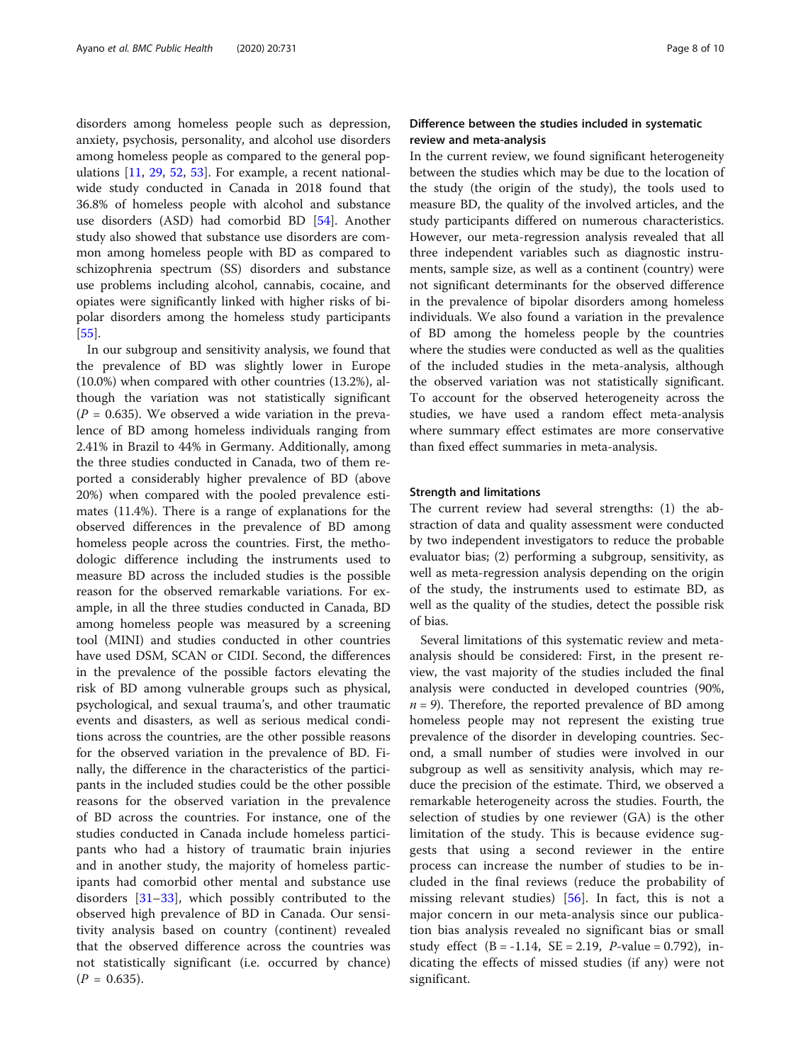disorders among homeless people such as depression, anxiety, psychosis, personality, and alcohol use disorders among homeless people as compared to the general populations  $[11, 29, 52, 53]$  $[11, 29, 52, 53]$  $[11, 29, 52, 53]$  $[11, 29, 52, 53]$  $[11, 29, 52, 53]$  $[11, 29, 52, 53]$  $[11, 29, 52, 53]$  $[11, 29, 52, 53]$ . For example, a recent nationalwide study conducted in Canada in 2018 found that 36.8% of homeless people with alcohol and substance use disorders (ASD) had comorbid BD [[54\]](#page-9-0). Another study also showed that substance use disorders are common among homeless people with BD as compared to schizophrenia spectrum (SS) disorders and substance use problems including alcohol, cannabis, cocaine, and opiates were significantly linked with higher risks of bipolar disorders among the homeless study participants [[55\]](#page-9-0).

In our subgroup and sensitivity analysis, we found that the prevalence of BD was slightly lower in Europe (10.0%) when compared with other countries (13.2%), although the variation was not statistically significant  $(P = 0.635)$ . We observed a wide variation in the prevalence of BD among homeless individuals ranging from 2.41% in Brazil to 44% in Germany. Additionally, among the three studies conducted in Canada, two of them reported a considerably higher prevalence of BD (above 20%) when compared with the pooled prevalence estimates (11.4%). There is a range of explanations for the observed differences in the prevalence of BD among homeless people across the countries. First, the methodologic difference including the instruments used to measure BD across the included studies is the possible reason for the observed remarkable variations. For example, in all the three studies conducted in Canada, BD among homeless people was measured by a screening tool (MINI) and studies conducted in other countries have used DSM, SCAN or CIDI. Second, the differences in the prevalence of the possible factors elevating the risk of BD among vulnerable groups such as physical, psychological, and sexual trauma's, and other traumatic events and disasters, as well as serious medical conditions across the countries, are the other possible reasons for the observed variation in the prevalence of BD. Finally, the difference in the characteristics of the participants in the included studies could be the other possible reasons for the observed variation in the prevalence of BD across the countries. For instance, one of the studies conducted in Canada include homeless participants who had a history of traumatic brain injuries and in another study, the majority of homeless participants had comorbid other mental and substance use disorders  $[31-33]$  $[31-33]$  $[31-33]$  $[31-33]$ , which possibly contributed to the observed high prevalence of BD in Canada. Our sensitivity analysis based on country (continent) revealed that the observed difference across the countries was not statistically significant (i.e. occurred by chance)  $(P = 0.635)$ .

#### Difference between the studies included in systematic review and meta-analysis

In the current review, we found significant heterogeneity between the studies which may be due to the location of the study (the origin of the study), the tools used to measure BD, the quality of the involved articles, and the study participants differed on numerous characteristics. However, our meta-regression analysis revealed that all three independent variables such as diagnostic instruments, sample size, as well as a continent (country) were not significant determinants for the observed difference in the prevalence of bipolar disorders among homeless individuals. We also found a variation in the prevalence of BD among the homeless people by the countries where the studies were conducted as well as the qualities of the included studies in the meta-analysis, although the observed variation was not statistically significant. To account for the observed heterogeneity across the studies, we have used a random effect meta-analysis where summary effect estimates are more conservative than fixed effect summaries in meta-analysis.

#### Strength and limitations

The current review had several strengths: (1) the abstraction of data and quality assessment were conducted by two independent investigators to reduce the probable evaluator bias; (2) performing a subgroup, sensitivity, as well as meta-regression analysis depending on the origin of the study, the instruments used to estimate BD, as well as the quality of the studies, detect the possible risk of bias.

Several limitations of this systematic review and metaanalysis should be considered: First, in the present review, the vast majority of the studies included the final analysis were conducted in developed countries (90%,  $n=9$ ). Therefore, the reported prevalence of BD among homeless people may not represent the existing true prevalence of the disorder in developing countries. Second, a small number of studies were involved in our subgroup as well as sensitivity analysis, which may reduce the precision of the estimate. Third, we observed a remarkable heterogeneity across the studies. Fourth, the selection of studies by one reviewer (GA) is the other limitation of the study. This is because evidence suggests that using a second reviewer in the entire process can increase the number of studies to be included in the final reviews (reduce the probability of missing relevant studies)  $[56]$  $[56]$ . In fact, this is not a major concern in our meta-analysis since our publication bias analysis revealed no significant bias or small study effect  $(B = -1.14, SE = 2.19, P-value = 0.792)$ , indicating the effects of missed studies (if any) were not significant.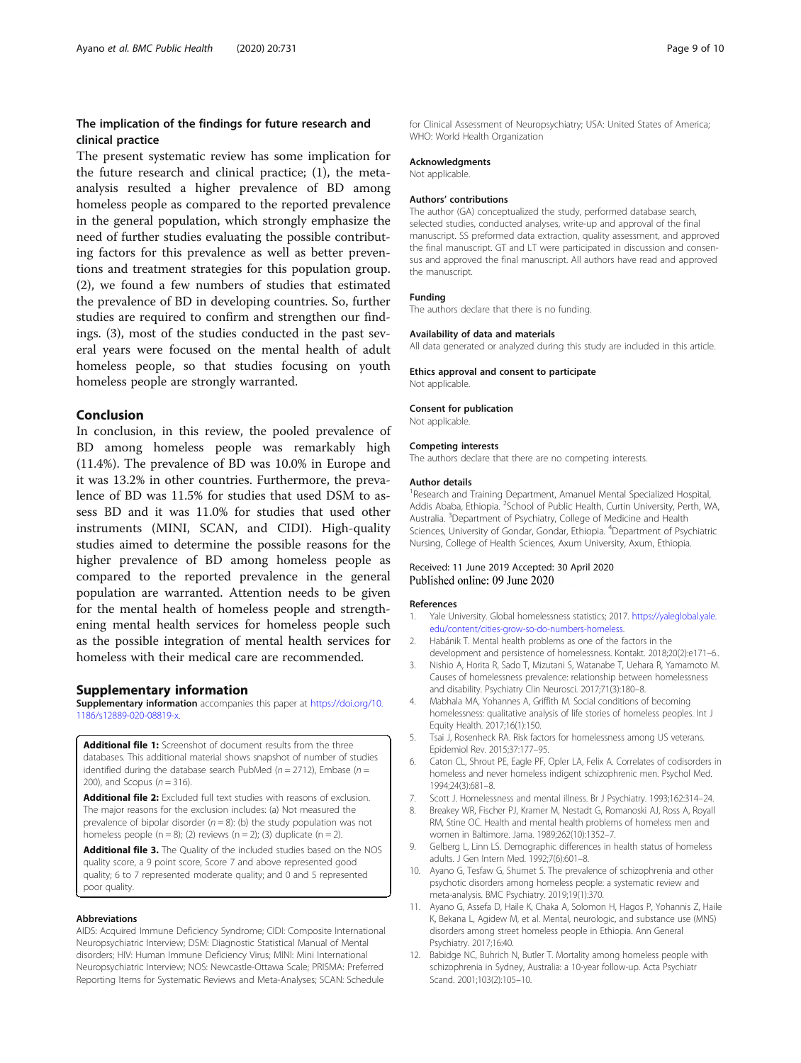#### <span id="page-8-0"></span>The implication of the findings for future research and clinical practice

The present systematic review has some implication for the future research and clinical practice; (1), the metaanalysis resulted a higher prevalence of BD among homeless people as compared to the reported prevalence in the general population, which strongly emphasize the need of further studies evaluating the possible contributing factors for this prevalence as well as better preventions and treatment strategies for this population group. (2), we found a few numbers of studies that estimated the prevalence of BD in developing countries. So, further studies are required to confirm and strengthen our findings. (3), most of the studies conducted in the past several years were focused on the mental health of adult homeless people, so that studies focusing on youth homeless people are strongly warranted.

#### Conclusion

In conclusion, in this review, the pooled prevalence of BD among homeless people was remarkably high (11.4%). The prevalence of BD was 10.0% in Europe and it was 13.2% in other countries. Furthermore, the prevalence of BD was 11.5% for studies that used DSM to assess BD and it was 11.0% for studies that used other instruments (MINI, SCAN, and CIDI). High-quality studies aimed to determine the possible reasons for the higher prevalence of BD among homeless people as compared to the reported prevalence in the general population are warranted. Attention needs to be given for the mental health of homeless people and strengthening mental health services for homeless people such as the possible integration of mental health services for homeless with their medical care are recommended.

#### Supplementary information

Supplementary information accompanies this paper at [https://doi.org/10.](https://doi.org/10.1186/s12889-020-08819-x) [1186/s12889-020-08819-x.](https://doi.org/10.1186/s12889-020-08819-x)

Additional file 1: Screenshot of document results from the three databases. This additional material shows snapshot of number of studies identified during the database search PubMed ( $n = 2712$ ), Embase ( $n =$ 200), and Scopus ( $n = 316$ ).

Additional file 2: Excluded full text studies with reasons of exclusion. The major reasons for the exclusion includes: (a) Not measured the prevalence of bipolar disorder ( $n = 8$ ): (b) the study population was not homeless people ( $n = 8$ ); (2) reviews ( $n = 2$ ); (3) duplicate ( $n = 2$ ).

Additional file 3. The Quality of the included studies based on the NOS quality score, a 9 point score, Score 7 and above represented good quality; 6 to 7 represented moderate quality; and 0 and 5 represented poor quality.

#### Abbreviations

AIDS: Acquired Immune Deficiency Syndrome; CIDI: Composite International Neuropsychiatric Interview; DSM: Diagnostic Statistical Manual of Mental disorders; HIV: Human Immune Deficiency Virus; MINI: Mini International Neuropsychiatric Interview; NOS: Newcastle-Ottawa Scale; PRISMA: Preferred Reporting Items for Systematic Reviews and Meta-Analyses; SCAN: Schedule

for Clinical Assessment of Neuropsychiatry; USA: United States of America; WHO: World Health Organization

#### Acknowledgments

Not applicable.

#### Authors' contributions

The author (GA) conceptualized the study, performed database search, selected studies, conducted analyses, write-up and approval of the final manuscript. SS preformed data extraction, quality assessment, and approved the final manuscript. GT and LT were participated in discussion and consensus and approved the final manuscript. All authors have read and approved the manuscript.

#### Funding

The authors declare that there is no funding.

#### Availability of data and materials

All data generated or analyzed during this study are included in this article.

#### Ethics approval and consent to participate

Not applicable.

#### Consent for publication

Not applicable.

#### Competing interests

The authors declare that there are no competing interests.

#### Author details

<sup>1</sup> Research and Training Department, Amanuel Mental Specialized Hospital Addis Ababa, Ethiopia. <sup>2</sup>School of Public Health, Curtin University, Perth, WA Australia. <sup>3</sup>Department of Psychiatry, College of Medicine and Health Sciences, University of Gondar, Gondar, Ethiopia. <sup>4</sup>Department of Psychiatric Nursing, College of Health Sciences, Axum University, Axum, Ethiopia.

#### Received: 11 June 2019 Accepted: 30 April 2020 Published online: 09 June 2020

#### References

- 1. Yale University. Global homelessness statistics; 2017. [https://yaleglobal.yale.](https://yaleglobal.yale.edu/content/cities-grow-so-do-numbers-homeless) [edu/content/cities-grow-so-do-numbers-homeless](https://yaleglobal.yale.edu/content/cities-grow-so-do-numbers-homeless).
- 2. Habánik T. Mental health problems as one of the factors in the development and persistence of homelessness. Kontakt. 2018;20(2):e171–6..
- 3. Nishio A, Horita R, Sado T, Mizutani S, Watanabe T, Uehara R, Yamamoto M. Causes of homelessness prevalence: relationship between homelessness and disability. Psychiatry Clin Neurosci. 2017;71(3):180–8.
- 4. Mabhala MA, Yohannes A, Griffith M. Social conditions of becoming homelessness: qualitative analysis of life stories of homeless peoples. Int J Equity Health. 2017;16(1):150.
- 5. Tsai J, Rosenheck RA. Risk factors for homelessness among US veterans. Epidemiol Rev. 2015;37:177–95.
- 6. Caton CL, Shrout PE, Eagle PF, Opler LA, Felix A. Correlates of codisorders in homeless and never homeless indigent schizophrenic men. Psychol Med. 1994;24(3):681–8.
- 7. Scott J. Homelessness and mental illness. Br J Psychiatry. 1993;162:314–24.
- 8. Breakey WR, Fischer PJ, Kramer M, Nestadt G, Romanoski AJ, Ross A, Royall RM, Stine OC. Health and mental health problems of homeless men and women in Baltimore. Jama. 1989;262(10):1352–7.
- 9. Gelberg L, Linn LS. Demographic differences in health status of homeless adults. J Gen Intern Med. 1992;7(6):601–8.
- 10. Ayano G, Tesfaw G, Shumet S. The prevalence of schizophrenia and other psychotic disorders among homeless people: a systematic review and meta-analysis. BMC Psychiatry. 2019;19(1):370.
- 11. Ayano G, Assefa D, Haile K, Chaka A, Solomon H, Hagos P, Yohannis Z, Haile K, Bekana L, Agidew M, et al. Mental, neurologic, and substance use (MNS) disorders among street homeless people in Ethiopia. Ann General Psychiatry. 2017;16:40.
- 12. Babidge NC, Buhrich N, Butler T. Mortality among homeless people with schizophrenia in Sydney, Australia: a 10-year follow-up. Acta Psychiatr Scand. 2001;103(2):105–10.